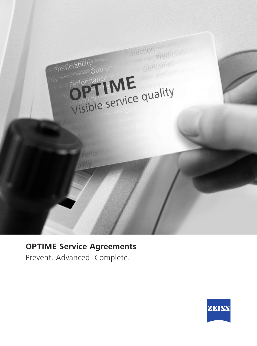

# **OPTIME Service Agreements**

Prevent. Advanced. Complete.

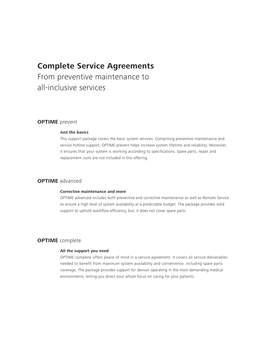### **Complete Service Agreements**

From preventive maintenance to all-inclusive services

### **OPTIME** prevent

#### **Just the basics**

This support package covers the basic system services. Comprising preventive maintenance and service hotline support, OPTIME prevent helps increase system lifetime and reliability. Moreover, it ensures that your system is working according to specifications. Spare parts, repair and replacement costs are not included in this offering.

### **OPTIME** advanced

#### **Corrective maintenance and more**

OPTIME advanced includes both preventive and corrective maintenance as well as Remote Service to ensure a high level of system availability at a predictable budget. The package provides solid support to uphold workflow efficiency, but, it does not cover spare parts.

#### **OPTIME** complete

#### **All the support you need**

OPTIME complete offers peace of mind in a service agreement. It covers all service deliverables needed to benefit from maximum system availability and convenience, including spare parts coverage. The package provides support for devices operating in the most demanding medical environments, letting you direct your whole focus on caring for your patients.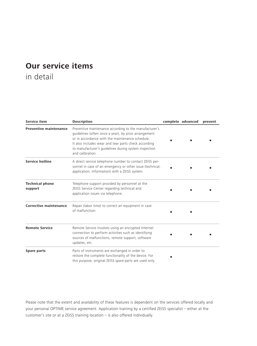# **Our service items**

in detail

| <b>Service item</b>               | <b>Description</b>                                                                                                                                                                                                                                                                                     | complete advanced | prevent |
|-----------------------------------|--------------------------------------------------------------------------------------------------------------------------------------------------------------------------------------------------------------------------------------------------------------------------------------------------------|-------------------|---------|
| <b>Preventive maintenance</b>     | Preventive maintenance according to the manufacturer's<br>quidelines (often once a year), by prior arrangement<br>or in accordance with the maintenance schedule.<br>It also includes wear and tear parts check according<br>to manufacturer's guidelines during system inspection<br>and calibration. |                   |         |
| <b>Service hotline</b>            | A direct service telephone number to contact ZEISS per-<br>sonnel in case of an emergency or other issue (technical,<br>application, information) with a ZEISS system.                                                                                                                                 |                   |         |
| <b>Technical phone</b><br>support | Telephone support provided by personnel at the<br>ZEISS Service Center regarding technical and<br>application issues via telephone.                                                                                                                                                                    |                   |         |
| Corrective maintenance            | Repair (labor time) to correct an equipment in case<br>of malfunction.                                                                                                                                                                                                                                 |                   |         |
| <b>Remote Service</b>             | Remote Service involves using an encrypted Internet<br>connection to perform activities such as identifying<br>sources of malfunctions, remote support, software<br>updates, etc.                                                                                                                      |                   |         |
| Spare parts                       | Parts of instruments are exchanged in order to<br>restore the complete functionality of the device. For<br>this purpose, original ZEISS spare parts are used only.                                                                                                                                     |                   |         |

Please note that the extent and availability of these features is dependent on the services offered locally and your personal OPTIME service agreement. Application training by a certified ZEISS specialist – either at the customer's site or at a ZEISS training location – is also offered individually.